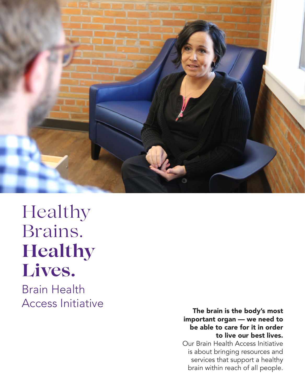

## Healthy Brains. **Healthy Lives.**

Brain Health Access Initiative

The brain is the body's most important organ — we need to be able to care for it in order to live our best lives.

Our Brain Health Access Initiative is about bringing resources and services that support a healthy brain within reach of all people.